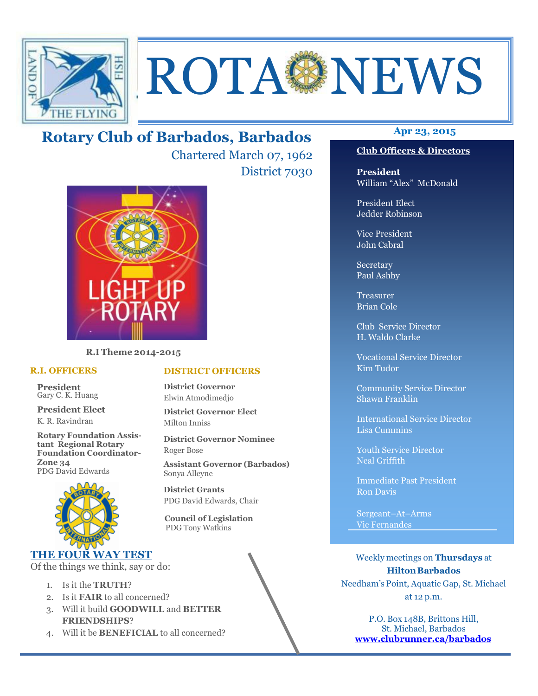

# ROTA NEWS

# **Apr 23, 2015 Rotary Club of Barbados, Barbados**

Chartered March 07, 1962 District 7030



**R.I Theme 2014-2015** 

#### **R.I. OFFICERS**

**President** Gary C. K. Huang

**President Elect** K. R. Ravindran

**Rotary Foundation Assistant Regional Rotary Foundation Coordinator-Zone 34**  PDG David Edwards



#### **THE FOUR WAY TEST**

Of the things we think, say or do:

- 1. Is it the **TRUTH**?
- 2. Is it **FAIR** to all concerned?
- 3. Will it build **GOODWILL** and **BETTER FRIENDSHIPS**?
- 4. Will it be **BENEFICIAL** to all concerned?

#### **Club Officers & Directors**

**President** William "Alex" McDonald

President Elect Jedder Robinson

Vice President John Cabral

Secretary Paul Ashby

Treasurer Brian Cole

Club Service Director H. Waldo Clarke

Vocational Service Director Kim Tudor

Community Service Director Shawn Franklin

International Service Director Lisa Cummins

Youth Service Director Neal Griffith

Immediate Past President Ron Davis

Sergeant–At–Arms Vic Fernandes

Weekly meetings on **Thursdays** at **Hilton Barbados** Needham's Point, Aquatic Gap, St. Michael at 12 p.m.

P.O. Box 148B, Brittons Hill, St. Michael, Barbados **www.clubrunner.ca/barbados**

#### **DISTRICT OFFICERS**

**District Governor** Elwin Atmodimedjo

**District Governor Elect** Milton Inniss

**District Governor Nominee**  Roger Bose

**Assistant Governor (Barbados)** Sonya Alleyne

**District Grants**  PDG David Edwards, Chair

 **Council of Legislation**  PDG Tony Watkins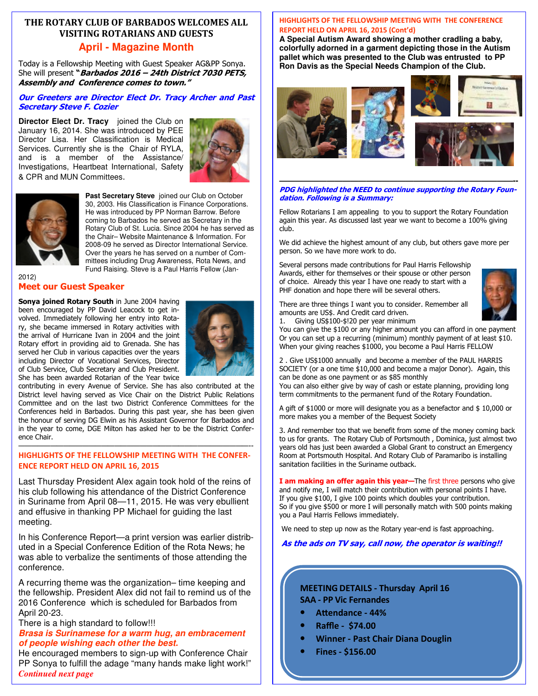#### **THE ROTARY CLUB OF BARBADOS WELCOMES ALL VISITING ROTARIANS AND GUESTS April - Magazine Month**

Today is a Fellowship Meeting with Guest Speaker AG&PP Sonya. She will present **"Barbados 2016 – 24th District 7030 PETS, Assembly and Conference comes to town."**

#### **Our Greeters are Director Elect Dr. Tracy Archer and Past Secretary Steve F. Cozier**

**Director Elect Dr. Tracy** joined the Club on January 16, 2014. She was introduced by PEE Director Lisa. Her Classification is Medical Services. Currently she is the Chair of RYLA, and is a member of the Assistance/ Investigations, Heartbeat International, Safety & CPR and MUN Committees.





**Past Secretary Steve** joined our Club on October 30, 2003. His Classification is Finance Corporations. He was introduced by PP Norman Barrow. Before coming to Barbados he served as Secretary in the Rotary Club of St. Lucia. Since 2004 he has served as the Chair– Website Maintenance & Information. For 2008-09 he served as Director International Service. Over the years he has served on a number of Committees including Drug Awareness, Rota News, and Fund Raising. Steve is a Paul Harris Fellow (Jan-

#### 2012) **Meet our Guest Speaker**

**Sonya joined Rotary South** in June 2004 having been encouraged by PP David Leacock to get involved. Immediately following her entry into Rotary, she became immersed in Rotary activities with the arrival of Hurricane Ivan in 2004 and the joint Rotary effort in providing aid to Grenada. She has served her Club in various capacities over the years including Director of Vocational Services, Director of Club Service, Club Secretary and Club President. She has been awarded Rotarian of the Year twice



contributing in every Avenue of Service. She has also contributed at the District level having served as Vice Chair on the District Public Relations Committee and on the last two District Conference Committees for the Conferences held in Barbados. During this past year, she has been given the honour of serving DG Elwin as his Assistant Governor for Barbados and in the year to come, DGE Milton has asked her to be the District Conference Chair.

#### ————————————————————————————————————-- **HIGHLIGHTS OF THE FELLOWSHIP MEETING WITH THE CONFER-ENCE REPORT HELD ON APRIL 16, 2015**

Last Thursday President Alex again took hold of the reins of his club following his attendance of the District Conference in Suriname from April 08—11, 2015. He was very ebullient and effusive in thanking PP Michael for guiding the last meeting.

In his Conference Report—a print version was earlier distributed in a Special Conference Edition of the Rota News; he was able to verbalize the sentiments of those attending the conference.

A recurring theme was the organization– time keeping and the fellowship. President Alex did not fail to remind us of the 2016 Conference which is scheduled for Barbados from April 20-23.

#### There is a high standard to follow!!!

#### **Brasa is Surinamese for a warm hug, an embracement of people wishing each other the best.**

 PP Sonya to fulfill the adage "many hands make light work!" He encouraged members to sign-up with Conference Chair *Continued next page* 

#### **HIGHLIGHTS OF THE FELLOWSHIP MEETING WITH THE CONFERENCE REPORT HELD ON APRIL 16, 2015 (Cont'd)**

**A Special Autism Award showing a mother cradling a baby, colorfully adorned in a garment depicting those in the Autism pallet which was presented to the Club was entrusted to PP Ron Davis as the Special Needs Champion of the Club.** 



#### **—————————————————————————–————-- PDG highlighted the NEED to continue supporting the Rotary Foundation. Following is a Summary:**

Fellow Rotarians I am appealing to you to support the Rotary Foundation again this year. As discussed last year we want to become a 100% giving club.

We did achieve the highest amount of any club, but others gave more per person. So we have more work to do.

Several persons made contributions for Paul Harris Fellowship Awards, either for themselves or their spouse or other person of choice. Already this year I have one ready to start with a PHF donation and hope there will be several others.



There are three things I want you to consider. Remember all amounts are US\$. And Credit card driven. 1. Giving US\$100-\$!20 per year minimum

You can give the \$100 or any higher amount you can afford in one payment Or you can set up a recurring (minimum) monthly payment of at least \$10. When your giving reaches \$1000, you become a Paul Harris FELLOW

2 . Give US\$1000 annually and become a member of the PAUL HARRIS SOCIETY (or a one time \$10,000 and become a major Donor). Again, this can be done as one payment or as \$85 monthly

You can also either give by way of cash or estate planning, providing long term commitments to the permanent fund of the Rotary Foundation.

A gift of \$1000 or more will designate you as a benefactor and \$ 10,000 or more makes you a member of the Bequest Society

3. And remember too that we benefit from some of the money coming back to us for grants. The Rotary Club of Portsmouth , Dominica, just almost two years old has just been awarded a Global Grant to construct an Emergency Room at Portsmouth Hospital. And Rotary Club of Paramaribo is installing sanitation facilities in the Suriname outback.

**I am making an offer again this year—**The first three persons who give and notify me, I will match their contribution with personal points I have. If you give \$100, I give 100 points which doubles your contribution. So if you give \$500 or more I will personally match with 500 points making you a Paul Harris Fellows immediately.

We need to step up now as the Rotary year-end is fast approaching.

#### **As the ads on TV say, call now, the operator is waiting!!**

#### **MEETING DETAILS - Thursday April 16 SAA - PP Vic Fernandes**

- Attendance 44%
- **Raffle \$74.00**
- **Winner Past Chair Diana Douglin**
- **Fines \$156.00**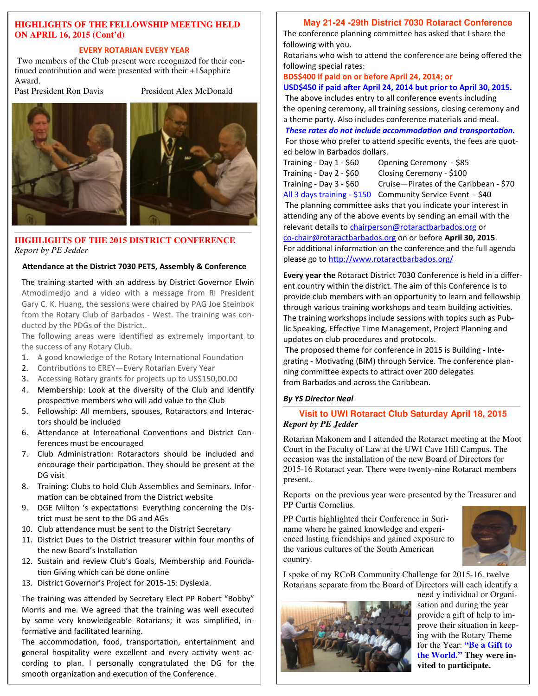#### **HIGHLIGHTS OF THE FELLOWSHIP MEETING HELD ON APRIL 16, 2015 (Cont'd)**

#### **EVERY ROTARIAN EVERY YEAR**

 Two members of the Club present were recognized for their continued contribution and were presented with their +1Sapphire Award.<br>Past President Ron Davis

President Alex McDonald



**HIGHLIGHTS OF THE 2015 DISTRICT CONFERENCE**  *Report by PE Jedder* 

#### Attendance at the District 7030 PETS, Assembly & Conference

The training started with an address by District Governor Elwin Atmodimedjo and a video with a message from RI President Gary C. K. Huang, the sessions were chaired by PAG Joe Steinbok from the Rotary Club of Barbados - West. The training was conducted by the PDGs of the District..

The following areas were identified as extremely important to the success of any Rotary Club.

- 1. A good knowledge of the Rotary International Foundation
- 2. Contributions to EREY—Every Rotarian Every Year
- 3. Accessing Rotary grants for projects up to US\$150,00.00
- 4. Membership: Look at the diversity of the Club and identify prospective members who will add value to the Club
- 5. Fellowship: All members, spouses, Rotaractors and Interactors should be included
- 6. Attendance at International Conventions and District Conferences must be encouraged
- 7. Club Administration: Rotaractors should be included and encourage their participation. They should be present at the DG visit
- 8. Training: Clubs to hold Club Assemblies and Seminars. Information can be obtained from the District website
- 9. DGE Milton 's expectations: Everything concerning the District must be sent to the DG and AGs
- 10. Club attendance must be sent to the District Secretary
- 11. District Dues to the District treasurer within four months of the new Board's Installation
- 12. Sustain and review Club's Goals, Membership and Founda tion Giving which can be done online
- 13. District Governor's Project for 2015-15: Dyslexia.

The training was attended by Secretary Elect PP Robert "Bobby" Morris and me. We agreed that the training was well executed by some very knowledgeable Rotarians; it was simplified, informative and facilitated learning.

 cording to plan. I personally congratulated the DG for the The accommodation, food, transportation, entertainment and general hospitality were excellent and every activity went acsmooth organization and execution of the Conference.

#### **May 21-24 -29th District 7030 Rotaract Conference**

The conference planning committee has asked that I share the following with you.

Rotarians who wish to attend the conference are being offered the following special rates:

**BDS\$400 if paid on or before April 24, 2014; or** 

#### **USD\$450 if paid after April 24, 2014 but prior to April 30, 2015.** The above includes entry to all conference events including

the opening ceremony, all training sessions, closing ceremony and a theme party. Also includes conference materials and meal.

**These rates do not include accommodation and transportation.** For those who prefer to attend specific events, the fees are quoted below in Barbados dollars.

| Training - Day 1 - \$60 | Opening Ceremony - \$85                                                         |
|-------------------------|---------------------------------------------------------------------------------|
| Training - Day 2 - \$60 | Closing Ceremony - \$100                                                        |
| Training - Day 3 - \$60 | Cruise-Pirates of the Caribbean - \$70                                          |
|                         | $\triangle$ ll 2 deve training $\triangle$ 450 Community Compact $\triangle$ 40 |

All 3 days training - \$150 Community Service Event - \$40 The planning committee asks that you indicate your interest in attending any of the above events by sending an email with the relevant details to chairperson@rotaractbarbados.org or co-chair@rotaractbarbados.org on or before **April 30, 2015**.

For additional information on the conference and the full agenda please go to http://www.rotaractbarbados.org/

**Every year the** Rotaract District 7030 Conference is held in a different country within the district. The aim of this Conference is to provide club members with an opportunity to learn and fellowship through various training workshops and team building activities. The training workshops include sessions with topics such as Public Speaking, Effective Time Management, Project Planning and updates on club procedures and protocols.

 The proposed theme for conference in 2015 is Building - Integrating - Motivating (BIM) through Service. The conference planning committee expects to attract over 200 delegates from Barbados and across the Caribbean.

#### *By YS Director Neal*

#### —————————————————————————————————————————————————————— **Visit to UWI Rotaract Club Saturday April 18, 2015**  *Report by PE Jedder*

Rotarian Makonem and I attended the Rotaract meeting at the Moot Court in the Faculty of Law at the UWI Cave Hill Campus. The occasion was the installation of the new Board of Directors for 2015-16 Rotaract year. There were twenty-nine Rotaract members present..

Reports on the previous year were presented by the Treasurer and PP Curtis Cornelius.

PP Curtis highlighted their Conference in Suriname where he gained knowledge and experienced lasting friendships and gained exposure to the various cultures of the South American country.



I spoke of my RCoB Community Challenge for 2015-16. twelve Rotarians separate from the Board of Directors will each identify a



need y individual or Organisation and during the year provide a gift of help to improve their situation in keeping with the Rotary Theme for the Year: **"Be a Gift to the World." They were invited to participate.**